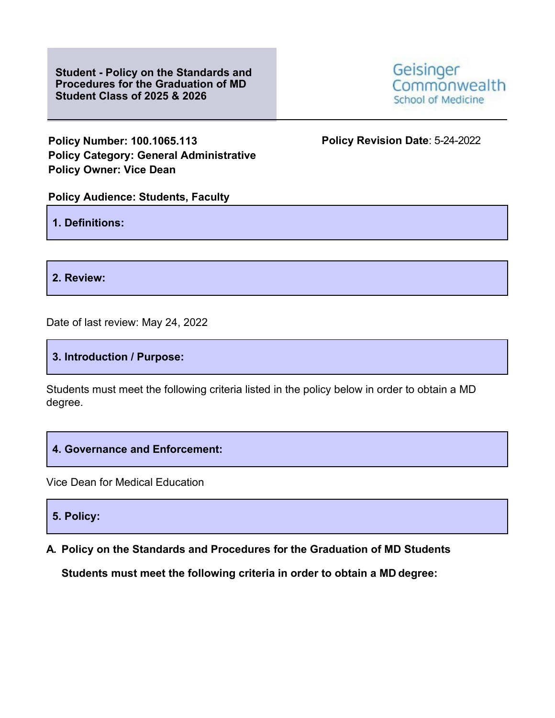**Student - Policy on the Standards and Procedures for the Graduation of MD Student Class of 2025 & 2026**



**Policy Number: 100.1065.113 Policy Revision Date**: 5-24-2022 **Policy Category: General Administrative Policy Owner: Vice Dean**

## **Policy Audience: Students, Faculty**

**1. Definitions:**

**2. Review:**

Date of last review: May 24, 2022

**3. Introduction / Purpose:**

Students must meet the following criteria listed in the policy below in order to obtain a MD degree.

## **4. Governance and Enforcement:**

Vice Dean for Medical Education

**5. Policy:**

**A. Policy on the Standards and Procedures for the Graduation of MD Students** 

**Students must meet the following criteria in order to obtain a MD degree:**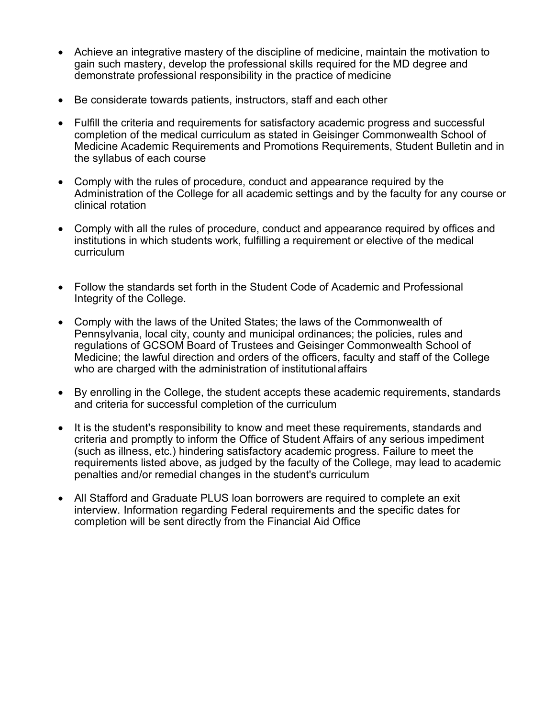- Achieve an integrative mastery of the discipline of medicine, maintain the motivation to gain such mastery, develop the professional skills required for the MD degree and demonstrate professional responsibility in the practice of medicine
- Be considerate towards patients, instructors, staff and each other
- Fulfill the criteria and requirements for satisfactory academic progress and successful completion of the medical curriculum as stated in Geisinger Commonwealth School of Medicine Academic Requirements and Promotions Requirements, Student Bulletin and in the syllabus of each course
- Comply with the rules of procedure, conduct and appearance required by the Administration of the College for all academic settings and by the faculty for any course or clinical rotation
- Comply with all the rules of procedure, conduct and appearance required by offices and institutions in which students work, fulfilling a requirement or elective of the medical curriculum
- Follow the standards set forth in the Student Code of Academic and Professional Integrity of the College.
- Comply with the laws of the United States; the laws of the Commonwealth of Pennsylvania, local city, county and municipal ordinances; the policies, rules and regulations of GCSOM Board of Trustees and Geisinger Commonwealth School of Medicine; the lawful direction and orders of the officers, faculty and staff of the College who are charged with the administration of institutional affairs
- By enrolling in the College, the student accepts these academic requirements, standards and criteria for successful completion of the curriculum
- It is the student's responsibility to know and meet these requirements, standards and criteria and promptly to inform the Office of Student Affairs of any serious impediment (such as illness, etc.) hindering satisfactory academic progress. Failure to meet the requirements listed above, as judged by the faculty of the College, may lead to academic penalties and/or remedial changes in the student's curriculum
- All Stafford and Graduate PLUS loan borrowers are required to complete an exit interview. Information regarding Federal requirements and the specific dates for completion will be sent directly from the Financial Aid Office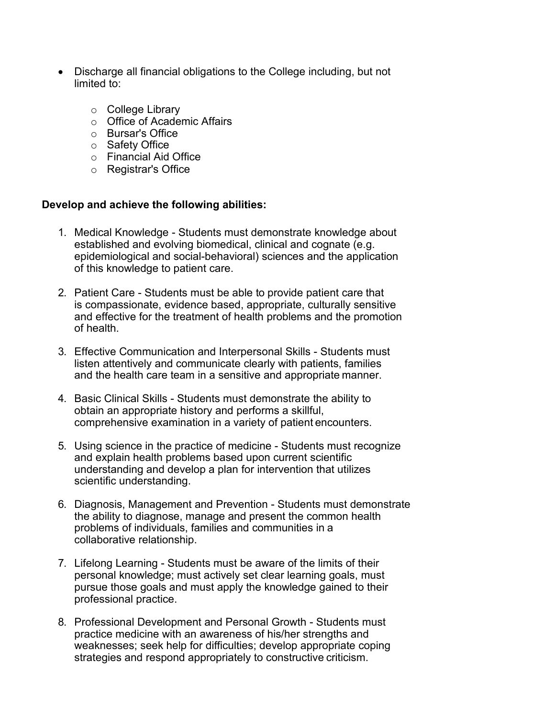- Discharge all financial obligations to the College including, but not limited to:
	- o College Library
	- o Office of Academic Affairs
	- o Bursar's Office
	- o Safety Office
	- o Financial Aid Office
	- o Registrar's Office

## **Develop and achieve the following abilities:**

- 1. Medical Knowledge Students must demonstrate knowledge about established and evolving biomedical, clinical and cognate (e.g. epidemiological and social-behavioral) sciences and the application of this knowledge to patient care.
- 2. Patient Care Students must be able to provide patient care that is compassionate, evidence based, appropriate, culturally sensitive and effective for the treatment of health problems and the promotion of health.
- 3. Effective Communication and Interpersonal Skills Students must listen attentively and communicate clearly with patients, families and the health care team in a sensitive and appropriate manner.
- 4. Basic Clinical Skills Students must demonstrate the ability to obtain an appropriate history and performs a skillful, comprehensive examination in a variety of patient encounters.
- 5. Using science in the practice of medicine Students must recognize and explain health problems based upon current scientific understanding and develop a plan for intervention that utilizes scientific understanding.
- 6. Diagnosis, Management and Prevention Students must demonstrate the ability to diagnose, manage and present the common health problems of individuals, families and communities in a collaborative relationship.
- 7. Lifelong Learning Students must be aware of the limits of their personal knowledge; must actively set clear learning goals, must pursue those goals and must apply the knowledge gained to their professional practice.
- 8. Professional Development and Personal Growth Students must practice medicine with an awareness of his/her strengths and weaknesses; seek help for difficulties; develop appropriate coping strategies and respond appropriately to constructive criticism.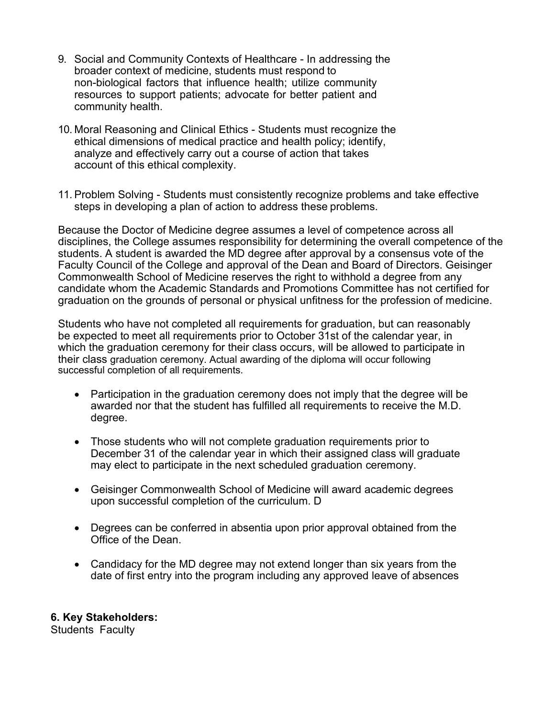- 9. Social and Community Contexts of Healthcare In addressing the broader context of medicine, students must respond to non-biological factors that influence health; utilize community resources to support patients; advocate for better patient and community health.
- 10. Moral Reasoning and Clinical Ethics Students must recognize the ethical dimensions of medical practice and health policy; identify, analyze and effectively carry out a course of action that takes account of this ethical complexity.
- 11. Problem Solving Students must consistently recognize problems and take effective steps in developing a plan of action to address these problems.

Because the Doctor of Medicine degree assumes a level of competence across all disciplines, the College assumes responsibility for determining the overall competence of the students. A student is awarded the MD degree after approval by a consensus vote of the Faculty Council of the College and approval of the Dean and Board of Directors. Geisinger Commonwealth School of Medicine reserves the right to withhold a degree from any candidate whom the Academic Standards and Promotions Committee has not certified for graduation on the grounds of personal or physical unfitness for the profession of medicine.

Students who have not completed all requirements for graduation, but can reasonably be expected to meet all requirements prior to October 31st of the calendar year, in which the graduation ceremony for their class occurs, will be allowed to participate in their class graduation ceremony. Actual awarding of the diploma will occur following successful completion of all requirements.

- Participation in the graduation ceremony does not imply that the degree will be awarded nor that the student has fulfilled all requirements to receive the M.D. degree.
- Those students who will not complete graduation requirements prior to December 31 of the calendar year in which their assigned class will graduate may elect to participate in the next scheduled graduation ceremony.
- Geisinger Commonwealth School of Medicine will award academic degrees upon successful completion of the curriculum. D
- Degrees can be conferred in absentia upon prior approval obtained from the Office of the Dean.
- Candidacy for the MD degree may not extend longer than six years from the date of first entry into the program including any approved leave of absences

## **6. Key Stakeholders:**

Students Faculty